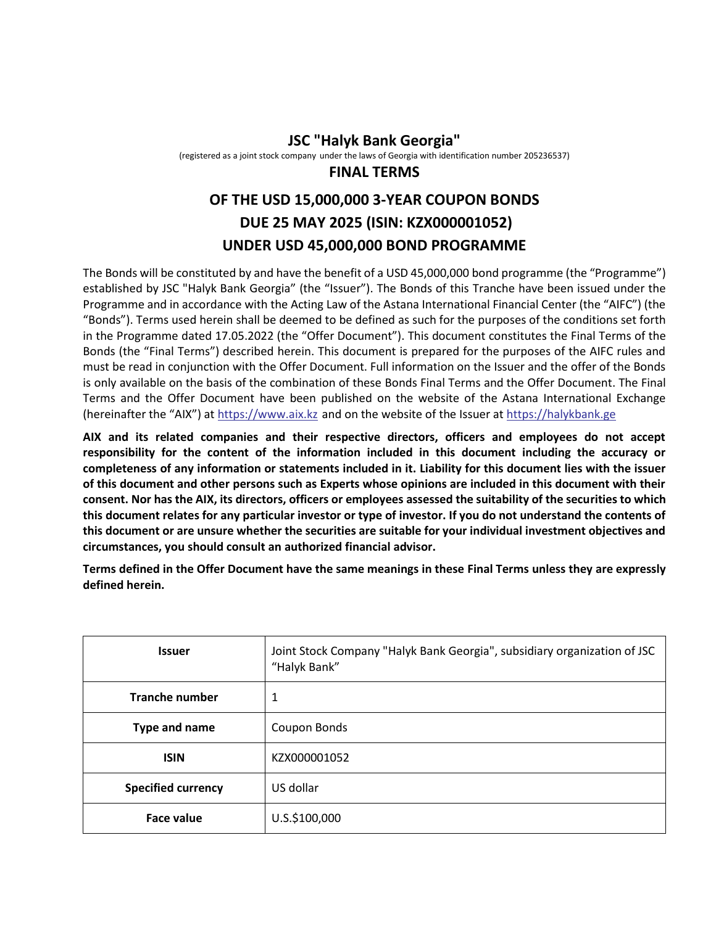## **JSC "Halyk Bank Georgia"**

(registered as a joint stock company under the laws of Georgia with identification number 205236537)

## **FINAL TERMS**

## **OF THE USD 15,000,000 3-YEAR COUPON BONDS DUE 25 MAY 2025 (ISIN: KZX000001052) UNDER USD 45,000,000 BOND PROGRAMME**

The Bonds will be constituted by and have the benefit of a USD 45,000,000 bond programme (the "Programme") established by JSC "Halyk Bank Georgia" (the "Issuer"). The Bonds of this Tranche have been issued under the Programme and in accordance with the Acting Law of the Astana International Financial Center (the "AIFC") (the "Bonds"). Terms used herein shall be deemed to be defined as such for the purposes of the conditions set forth in the Programme dated 17.05.2022 (the "Offer Document"). This document constitutes the Final Terms of the Bonds (the "Final Terms") described herein. This document is prepared for the purposes of the AIFC rules and must be read in conjunction with the Offer Document. Full information on the Issuer and the offer of the Bonds is only available on the basis of the combination of these Bonds Final Terms and the Offer Document. The Final Terms and the Offer Document have been published on the website of the Astana International Exchange (hereinafter the "AIX") at [https://www.aix.kz](https://www.aix.kz/) and on the website of the Issuer at [https://halykbank.ge](https://halykbank.ge/)

**AIX and its related companies and their respective directors, officers and employees do not accept responsibility for the content of the information included in this document including the accuracy or completeness of any information or statements included in it. Liability for this document lies with the issuer of this document and other persons such as Experts whose opinions are included in this document with their consent. Nor has the AIX, its directors, officers or employees assessed the suitability of the securities to which this document relates for any particular investor or type of investor. If you do not understand the contents of this document or are unsure whether the securities are suitable for your individual investment objectives and circumstances, you should consult an authorized financial advisor.** 

**Terms defined in the Offer Document have the same meanings in these Final Terms unless they are expressly defined herein.**

| <b>Issuer</b>             | Joint Stock Company "Halyk Bank Georgia", subsidiary organization of JSC<br>"Halyk Bank" |  |
|---------------------------|------------------------------------------------------------------------------------------|--|
| <b>Tranche number</b>     | 1                                                                                        |  |
| Type and name             | Coupon Bonds                                                                             |  |
| <b>ISIN</b>               | KZX000001052                                                                             |  |
| <b>Specified currency</b> | US dollar                                                                                |  |
| <b>Face value</b>         | U.S.\$100,000                                                                            |  |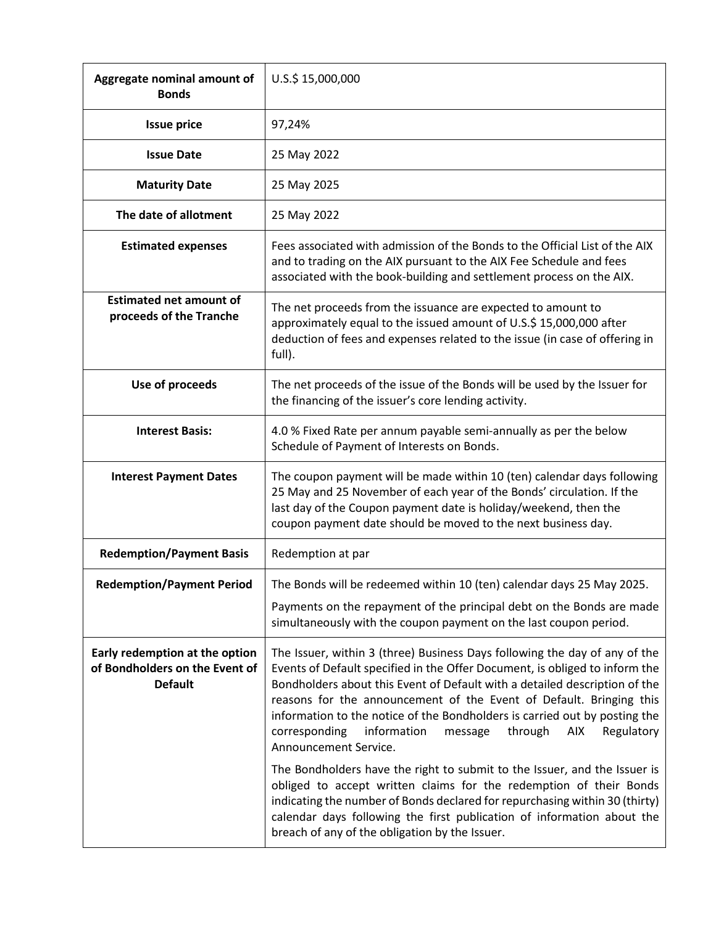| Aggregate nominal amount of<br><b>Bonds</b>                                        | U.S.\$ 15,000,000                                                                                                                                                                                                                                                                                                                                                                                                                                                                                                                                                                                                                                   |  |  |  |
|------------------------------------------------------------------------------------|-----------------------------------------------------------------------------------------------------------------------------------------------------------------------------------------------------------------------------------------------------------------------------------------------------------------------------------------------------------------------------------------------------------------------------------------------------------------------------------------------------------------------------------------------------------------------------------------------------------------------------------------------------|--|--|--|
| <b>Issue price</b>                                                                 | 97,24%                                                                                                                                                                                                                                                                                                                                                                                                                                                                                                                                                                                                                                              |  |  |  |
| <b>Issue Date</b>                                                                  | 25 May 2022                                                                                                                                                                                                                                                                                                                                                                                                                                                                                                                                                                                                                                         |  |  |  |
| <b>Maturity Date</b>                                                               | 25 May 2025                                                                                                                                                                                                                                                                                                                                                                                                                                                                                                                                                                                                                                         |  |  |  |
| The date of allotment                                                              | 25 May 2022                                                                                                                                                                                                                                                                                                                                                                                                                                                                                                                                                                                                                                         |  |  |  |
| <b>Estimated expenses</b>                                                          | Fees associated with admission of the Bonds to the Official List of the AIX<br>and to trading on the AIX pursuant to the AIX Fee Schedule and fees<br>associated with the book-building and settlement process on the AIX.                                                                                                                                                                                                                                                                                                                                                                                                                          |  |  |  |
| <b>Estimated net amount of</b><br>proceeds of the Tranche                          | The net proceeds from the issuance are expected to amount to<br>approximately equal to the issued amount of U.S.\$ 15,000,000 after<br>deduction of fees and expenses related to the issue (in case of offering in<br>full).                                                                                                                                                                                                                                                                                                                                                                                                                        |  |  |  |
| Use of proceeds                                                                    | The net proceeds of the issue of the Bonds will be used by the Issuer for<br>the financing of the issuer's core lending activity.                                                                                                                                                                                                                                                                                                                                                                                                                                                                                                                   |  |  |  |
| <b>Interest Basis:</b>                                                             | 4.0 % Fixed Rate per annum payable semi-annually as per the below<br>Schedule of Payment of Interests on Bonds.                                                                                                                                                                                                                                                                                                                                                                                                                                                                                                                                     |  |  |  |
| <b>Interest Payment Dates</b>                                                      | The coupon payment will be made within 10 (ten) calendar days following<br>25 May and 25 November of each year of the Bonds' circulation. If the<br>last day of the Coupon payment date is holiday/weekend, then the<br>coupon payment date should be moved to the next business day.                                                                                                                                                                                                                                                                                                                                                               |  |  |  |
| <b>Redemption/Payment Basis</b>                                                    | Redemption at par                                                                                                                                                                                                                                                                                                                                                                                                                                                                                                                                                                                                                                   |  |  |  |
| <b>Redemption/Payment Period</b>                                                   | The Bonds will be redeemed within 10 (ten) calendar days 25 May 2025.<br>Payments on the repayment of the principal debt on the Bonds are made<br>simultaneously with the coupon payment on the last coupon period.                                                                                                                                                                                                                                                                                                                                                                                                                                 |  |  |  |
| Early redemption at the option<br>of Bondholders on the Event of<br><b>Default</b> | The Issuer, within 3 (three) Business Days following the day of any of the<br>Events of Default specified in the Offer Document, is obliged to inform the<br>Bondholders about this Event of Default with a detailed description of the<br>reasons for the announcement of the Event of Default. Bringing this<br>information to the notice of the Bondholders is carried out by posting the<br>information<br>corresponding<br>through<br>AIX<br>message<br>Regulatory<br>Announcement Service.<br>The Bondholders have the right to submit to the Issuer, and the Issuer is<br>obliged to accept written claims for the redemption of their Bonds |  |  |  |
|                                                                                    | indicating the number of Bonds declared for repurchasing within 30 (thirty)<br>calendar days following the first publication of information about the<br>breach of any of the obligation by the Issuer.                                                                                                                                                                                                                                                                                                                                                                                                                                             |  |  |  |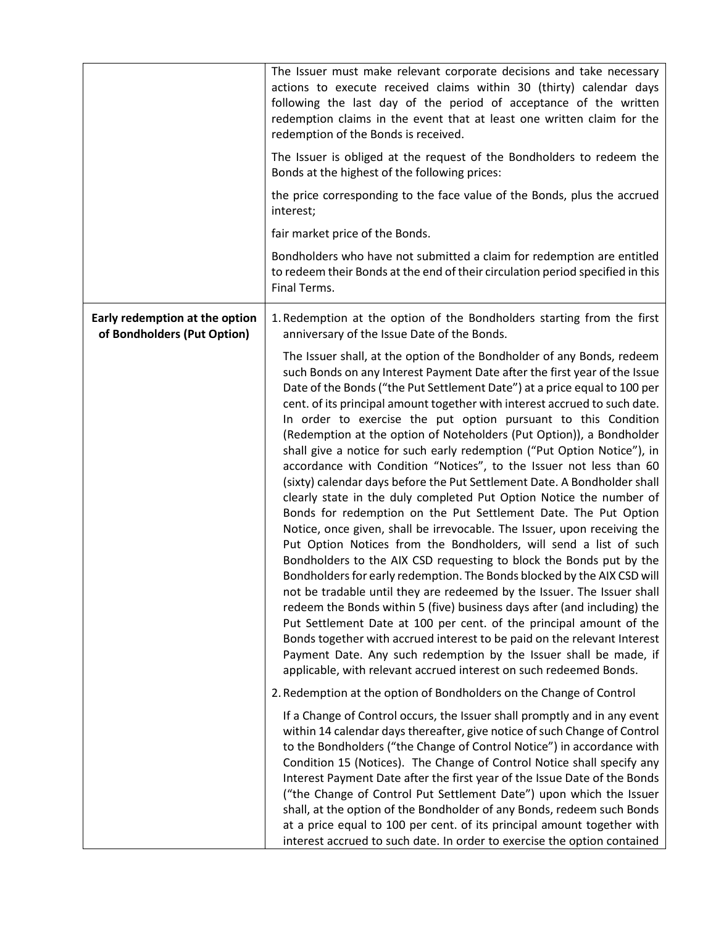|                                                               | The Issuer must make relevant corporate decisions and take necessary<br>actions to execute received claims within 30 (thirty) calendar days<br>following the last day of the period of acceptance of the written<br>redemption claims in the event that at least one written claim for the<br>redemption of the Bonds is received.<br>The Issuer is obliged at the request of the Bondholders to redeem the<br>Bonds at the highest of the following prices:<br>the price corresponding to the face value of the Bonds, plus the accrued<br>interest;<br>fair market price of the Bonds.<br>Bondholders who have not submitted a claim for redemption are entitled<br>to redeem their Bonds at the end of their circulation period specified in this<br>Final Terms.                                                                                                                                                                                                                                                                                                                                                                                                                                                                                                                                                                                                                                                                                                                                                                                                                                                                                            |  |  |  |
|---------------------------------------------------------------|-----------------------------------------------------------------------------------------------------------------------------------------------------------------------------------------------------------------------------------------------------------------------------------------------------------------------------------------------------------------------------------------------------------------------------------------------------------------------------------------------------------------------------------------------------------------------------------------------------------------------------------------------------------------------------------------------------------------------------------------------------------------------------------------------------------------------------------------------------------------------------------------------------------------------------------------------------------------------------------------------------------------------------------------------------------------------------------------------------------------------------------------------------------------------------------------------------------------------------------------------------------------------------------------------------------------------------------------------------------------------------------------------------------------------------------------------------------------------------------------------------------------------------------------------------------------------------------------------------------------------------------------------------------------|--|--|--|
| Early redemption at the option<br>of Bondholders (Put Option) | 1. Redemption at the option of the Bondholders starting from the first<br>anniversary of the Issue Date of the Bonds.                                                                                                                                                                                                                                                                                                                                                                                                                                                                                                                                                                                                                                                                                                                                                                                                                                                                                                                                                                                                                                                                                                                                                                                                                                                                                                                                                                                                                                                                                                                                           |  |  |  |
|                                                               | The Issuer shall, at the option of the Bondholder of any Bonds, redeem<br>such Bonds on any Interest Payment Date after the first year of the Issue<br>Date of the Bonds ("the Put Settlement Date") at a price equal to 100 per<br>cent. of its principal amount together with interest accrued to such date.<br>In order to exercise the put option pursuant to this Condition<br>(Redemption at the option of Noteholders (Put Option)), a Bondholder<br>shall give a notice for such early redemption ("Put Option Notice"), in<br>accordance with Condition "Notices", to the Issuer not less than 60<br>(sixty) calendar days before the Put Settlement Date. A Bondholder shall<br>clearly state in the duly completed Put Option Notice the number of<br>Bonds for redemption on the Put Settlement Date. The Put Option<br>Notice, once given, shall be irrevocable. The Issuer, upon receiving the<br>Put Option Notices from the Bondholders, will send a list of such<br>Bondholders to the AIX CSD requesting to block the Bonds put by the<br>Bondholders for early redemption. The Bonds blocked by the AIX CSD will<br>not be tradable until they are redeemed by the Issuer. The Issuer shall<br>redeem the Bonds within 5 (five) business days after (and including) the<br>Put Settlement Date at 100 per cent. of the principal amount of the<br>Bonds together with accrued interest to be paid on the relevant Interest<br>Payment Date. Any such redemption by the Issuer shall be made, if<br>applicable, with relevant accrued interest on such redeemed Bonds.<br>2. Redemption at the option of Bondholders on the Change of Control |  |  |  |
|                                                               | If a Change of Control occurs, the Issuer shall promptly and in any event                                                                                                                                                                                                                                                                                                                                                                                                                                                                                                                                                                                                                                                                                                                                                                                                                                                                                                                                                                                                                                                                                                                                                                                                                                                                                                                                                                                                                                                                                                                                                                                       |  |  |  |
|                                                               | within 14 calendar days thereafter, give notice of such Change of Control<br>to the Bondholders ("the Change of Control Notice") in accordance with<br>Condition 15 (Notices). The Change of Control Notice shall specify any<br>Interest Payment Date after the first year of the Issue Date of the Bonds<br>("the Change of Control Put Settlement Date") upon which the Issuer<br>shall, at the option of the Bondholder of any Bonds, redeem such Bonds<br>at a price equal to 100 per cent. of its principal amount together with<br>interest accrued to such date. In order to exercise the option contained                                                                                                                                                                                                                                                                                                                                                                                                                                                                                                                                                                                                                                                                                                                                                                                                                                                                                                                                                                                                                                              |  |  |  |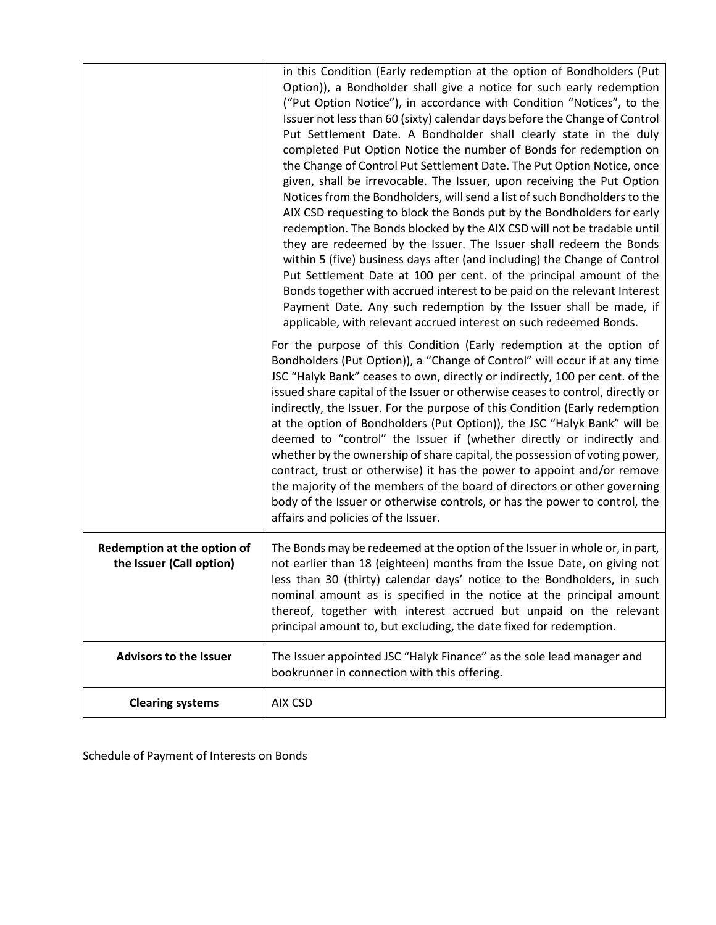|                                                         | in this Condition (Early redemption at the option of Bondholders (Put<br>Option)), a Bondholder shall give a notice for such early redemption<br>("Put Option Notice"), in accordance with Condition "Notices", to the<br>Issuer not less than 60 (sixty) calendar days before the Change of Control<br>Put Settlement Date. A Bondholder shall clearly state in the duly<br>completed Put Option Notice the number of Bonds for redemption on<br>the Change of Control Put Settlement Date. The Put Option Notice, once<br>given, shall be irrevocable. The Issuer, upon receiving the Put Option<br>Notices from the Bondholders, will send a list of such Bondholders to the<br>AIX CSD requesting to block the Bonds put by the Bondholders for early<br>redemption. The Bonds blocked by the AIX CSD will not be tradable until<br>they are redeemed by the Issuer. The Issuer shall redeem the Bonds<br>within 5 (five) business days after (and including) the Change of Control<br>Put Settlement Date at 100 per cent. of the principal amount of the<br>Bonds together with accrued interest to be paid on the relevant Interest<br>Payment Date. Any such redemption by the Issuer shall be made, if<br>applicable, with relevant accrued interest on such redeemed Bonds.<br>For the purpose of this Condition (Early redemption at the option of<br>Bondholders (Put Option)), a "Change of Control" will occur if at any time<br>JSC "Halyk Bank" ceases to own, directly or indirectly, 100 per cent. of the |  |  |  |
|---------------------------------------------------------|-----------------------------------------------------------------------------------------------------------------------------------------------------------------------------------------------------------------------------------------------------------------------------------------------------------------------------------------------------------------------------------------------------------------------------------------------------------------------------------------------------------------------------------------------------------------------------------------------------------------------------------------------------------------------------------------------------------------------------------------------------------------------------------------------------------------------------------------------------------------------------------------------------------------------------------------------------------------------------------------------------------------------------------------------------------------------------------------------------------------------------------------------------------------------------------------------------------------------------------------------------------------------------------------------------------------------------------------------------------------------------------------------------------------------------------------------------------------------------------------------------------------------------|--|--|--|
|                                                         | issued share capital of the Issuer or otherwise ceases to control, directly or<br>indirectly, the Issuer. For the purpose of this Condition (Early redemption<br>at the option of Bondholders (Put Option)), the JSC "Halyk Bank" will be<br>deemed to "control" the Issuer if (whether directly or indirectly and<br>whether by the ownership of share capital, the possession of voting power,<br>contract, trust or otherwise) it has the power to appoint and/or remove<br>the majority of the members of the board of directors or other governing<br>body of the Issuer or otherwise controls, or has the power to control, the<br>affairs and policies of the Issuer.                                                                                                                                                                                                                                                                                                                                                                                                                                                                                                                                                                                                                                                                                                                                                                                                                                                |  |  |  |
| Redemption at the option of<br>the Issuer (Call option) | The Bonds may be redeemed at the option of the Issuer in whole or, in part,<br>not earlier than 18 (eighteen) months from the Issue Date, on giving not<br>less than 30 (thirty) calendar days' notice to the Bondholders, in such<br>nominal amount as is specified in the notice at the principal amount<br>thereof, together with interest accrued but unpaid on the relevant<br>principal amount to, but excluding, the date fixed for redemption.                                                                                                                                                                                                                                                                                                                                                                                                                                                                                                                                                                                                                                                                                                                                                                                                                                                                                                                                                                                                                                                                      |  |  |  |
| <b>Advisors to the Issuer</b>                           | The Issuer appointed JSC "Halyk Finance" as the sole lead manager and<br>bookrunner in connection with this offering.                                                                                                                                                                                                                                                                                                                                                                                                                                                                                                                                                                                                                                                                                                                                                                                                                                                                                                                                                                                                                                                                                                                                                                                                                                                                                                                                                                                                       |  |  |  |
| <b>Clearing systems</b>                                 | AIX CSD                                                                                                                                                                                                                                                                                                                                                                                                                                                                                                                                                                                                                                                                                                                                                                                                                                                                                                                                                                                                                                                                                                                                                                                                                                                                                                                                                                                                                                                                                                                     |  |  |  |

Schedule of Payment of Interests on Bonds